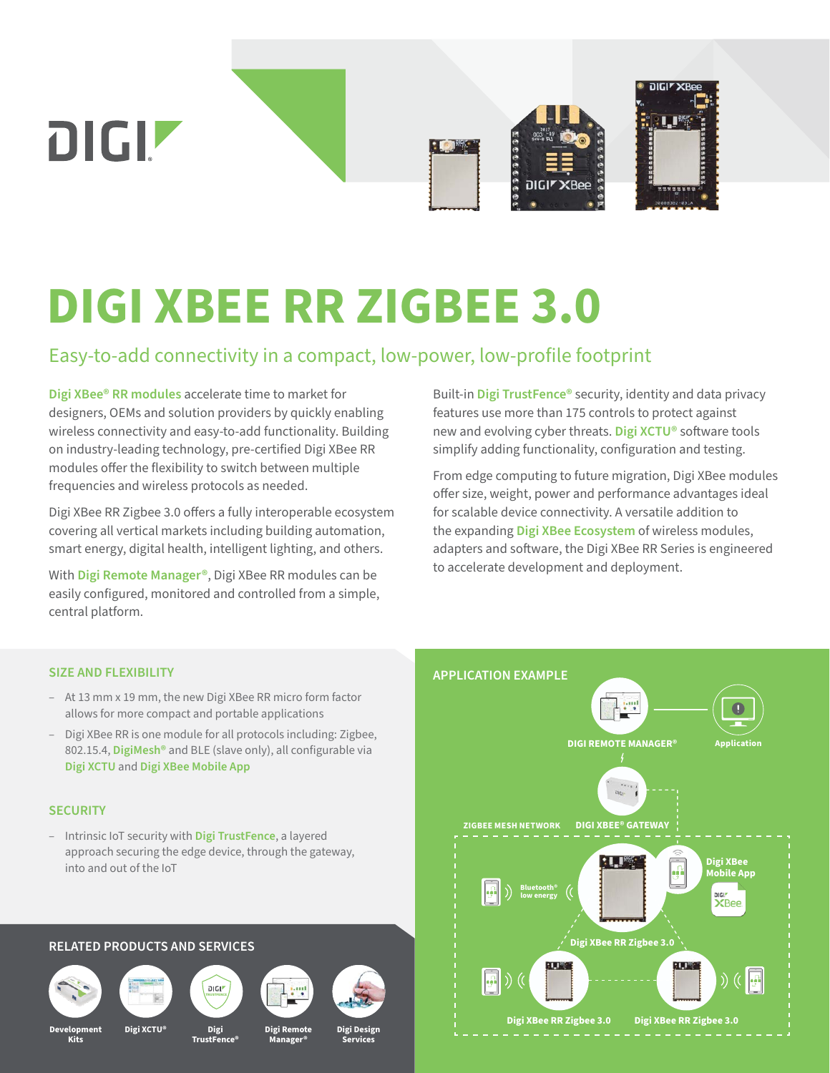

# **DIGI XBEE RR ZIGBEE 3.0**

### Easy-to-add connectivity in a compact, low-power, low-profile footprint

**[Digi XBee® RR modules](https://www.digi.com/products/embedded-systems/digi-xbee/rf-modules/2-4-ghz-rf-modules/digi-xbee-rr-zigbee)** accelerate time to market for designers, OEMs and solution providers by quickly enabling wireless connectivity and easy-to-add functionality. Building on industry-leading technology, pre-certified Digi XBee RR modules offer the flexibility to switch between multiple frequencies and wireless protocols as needed.

Digi XBee RR Zigbee 3.0 offers a fully interoperable ecosystem covering all vertical markets including building automation, smart energy, digital health, intelligent lighting, and others.

With **[Digi Remote Manager®](https://www.digi.com/products/iot-software-services/digi-remote-manager)**, Digi XBee RR modules can be easily configured, monitored and controlled from a simple, central platform.

Built-in **[Digi TrustFence®](https://www.digi.com/solutions/by-technology/trustfence)** security, identity and data privacy features use more than 175 controls to protect against new and evolving cyber threats. **[Digi XCTU®](https://www.digi.com/products/embedded-systems/digi-xbee/digi-xbee-tools/xctu)** software tools simplify adding functionality, configuration and testing.

From edge computing to future migration, Digi XBee modules offer size, weight, power and performance advantages ideal for scalable device connectivity. A versatile addition to the expanding **[Digi XBee Ecosystem](https://www.digi.com/xbee)** of wireless modules, adapters and software, the Digi XBee RR Series is engineered to accelerate development and deployment.

#### **SIZE AND FLEXIBILITY**

- At 13 mm x 19 mm, the new Digi XBee RR micro form factor allows for more compact and portable applications
- Digi XBee RR is one module for all protocols including: Zigbee, 802.15.4, **[DigiMesh®](https://www.digi.com/products/browse/digimesh)** and BLE (slave only), all configurable via **[Digi XCTU](https://www.digi.com/products/embedded-systems/digi-xbee/digi-xbee-tools/xctu)** and **[Digi XBee Mobile App](https://www.digi.com/products/embedded-systems/digi-xbee/digi-xbee-tools/digi-xbee-mobile-app)**

#### **SECURITY**

– Intrinsic IoT security with **[Digi TrustFence](https://www.digi.com/solutions/by-technology/trustfence)**, a layered approach securing the edge device, through the gateway, into and out of the IoT

#### **RELATED PRODUCTS AND SERVICES**











**Manager®**





**Development Kits**

**Digi TrustFence® Digi XCTU® Digi Remote**

**Digi Design**

**Services**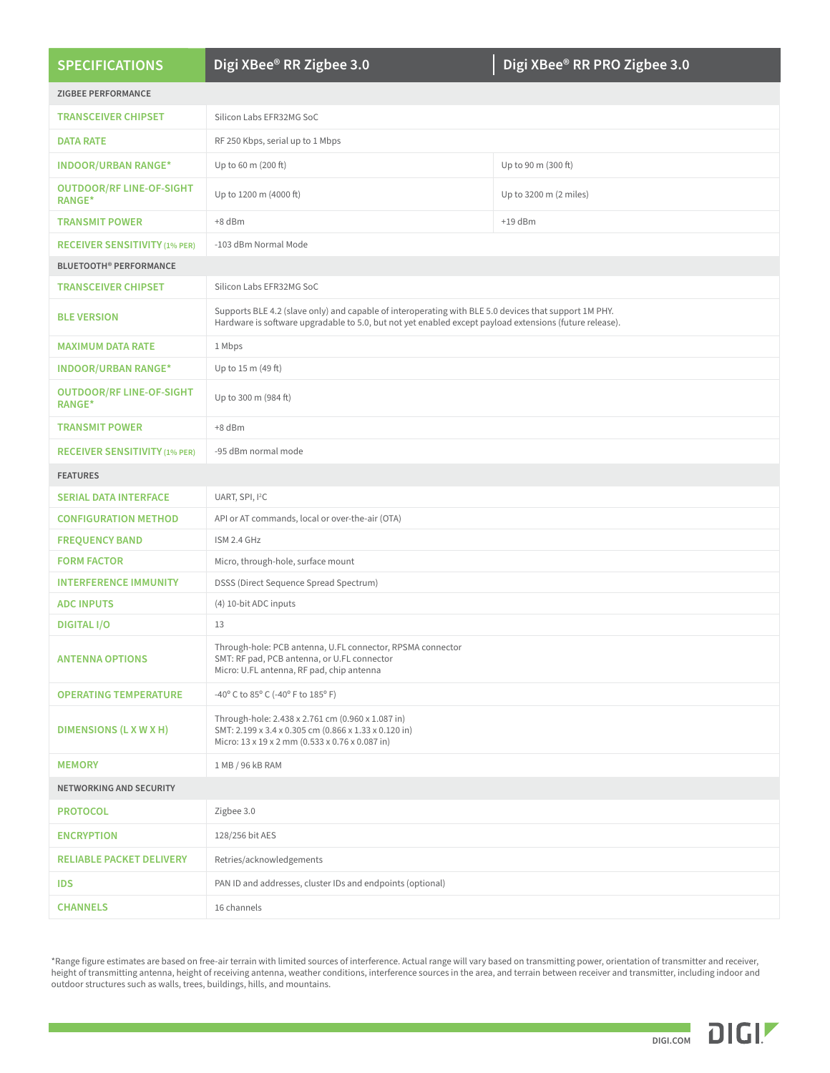| <b>SPECIFICATIONS</b>                            | Digi XBee <sup>®</sup> RR Zigbee 3.0                                                                                                                                                                             | Digi XBee® RR PRO Zigbee 3.0 |  |  |
|--------------------------------------------------|------------------------------------------------------------------------------------------------------------------------------------------------------------------------------------------------------------------|------------------------------|--|--|
| <b>ZIGBEE PERFORMANCE</b>                        |                                                                                                                                                                                                                  |                              |  |  |
| <b>TRANSCEIVER CHIPSET</b>                       | Silicon Labs EFR32MG SoC                                                                                                                                                                                         |                              |  |  |
| <b>DATA RATE</b>                                 | RF 250 Kbps, serial up to 1 Mbps                                                                                                                                                                                 |                              |  |  |
| <b>INDOOR/URBAN RANGE*</b>                       | Up to 60 m (200 ft)                                                                                                                                                                                              | Up to 90 m (300 ft)          |  |  |
| <b>OUTDOOR/RF LINE-OF-SIGHT</b><br><b>RANGE*</b> | Up to 1200 m (4000 ft)                                                                                                                                                                                           | Up to 3200 m (2 miles)       |  |  |
| <b>TRANSMIT POWER</b>                            | +8 dBm                                                                                                                                                                                                           | $+19$ dBm                    |  |  |
| <b>RECEIVER SENSITIVITY (1% PER)</b>             | -103 dBm Normal Mode                                                                                                                                                                                             |                              |  |  |
| <b>BLUETOOTH<sup>®</sup> PERFORMANCE</b>         |                                                                                                                                                                                                                  |                              |  |  |
| <b>TRANSCEIVER CHIPSET</b>                       | Silicon Labs EFR32MG SoC                                                                                                                                                                                         |                              |  |  |
| <b>BLE VERSION</b>                               | Supports BLE 4.2 (slave only) and capable of interoperating with BLE 5.0 devices that support 1M PHY.<br>Hardware is software upgradable to 5.0, but not yet enabled except payload extensions (future release). |                              |  |  |
| <b>MAXIMUM DATA RATE</b>                         | 1 Mbps                                                                                                                                                                                                           |                              |  |  |
| <b>INDOOR/URBAN RANGE*</b>                       | Up to 15 m (49 ft)                                                                                                                                                                                               |                              |  |  |
| <b>OUTDOOR/RF LINE-OF-SIGHT</b><br><b>RANGE*</b> | Up to 300 m (984 ft)                                                                                                                                                                                             |                              |  |  |
| <b>TRANSMIT POWER</b>                            | $+8$ dBm                                                                                                                                                                                                         |                              |  |  |
| <b>RECEIVER SENSITIVITY (1% PER)</b>             | -95 dBm normal mode                                                                                                                                                                                              |                              |  |  |
| <b>FEATURES</b>                                  |                                                                                                                                                                                                                  |                              |  |  |
| <b>SERIAL DATA INTERFACE</b>                     | UART, SPI, I <sup>2</sup> C                                                                                                                                                                                      |                              |  |  |
| <b>CONFIGURATION METHOD</b>                      | API or AT commands, local or over-the-air (OTA)                                                                                                                                                                  |                              |  |  |
| <b>FREQUENCY BAND</b>                            | ISM 2.4 GHz                                                                                                                                                                                                      |                              |  |  |
| <b>FORM FACTOR</b>                               | Micro, through-hole, surface mount                                                                                                                                                                               |                              |  |  |
| <b>INTERFERENCE IMMUNITY</b>                     | DSSS (Direct Sequence Spread Spectrum)                                                                                                                                                                           |                              |  |  |
| <b>ADC INPUTS</b>                                | (4) 10-bit ADC inputs                                                                                                                                                                                            |                              |  |  |
| <b>DIGITAL I/O</b>                               | 13                                                                                                                                                                                                               |                              |  |  |
| <b>ANTENNA OPTIONS</b>                           | Through-hole: PCB antenna, U.FL connector, RPSMA connector<br>SMT: RF pad, PCB antenna, or U.FL connector<br>Micro: U.FL antenna, RF pad, chip antenna                                                           |                              |  |  |
| <b>OPERATING TEMPERATURE</b>                     | -40° C to 85° C (-40° F to 185° F)                                                                                                                                                                               |                              |  |  |
| DIMENSIONS (L X W X H)                           | Through-hole: 2.438 x 2.761 cm (0.960 x 1.087 in)<br>SMT: 2.199 x 3.4 x 0.305 cm (0.866 x 1.33 x 0.120 in)<br>Micro: 13 x 19 x 2 mm (0.533 x 0.76 x 0.087 in)                                                    |                              |  |  |
| <b>MEMORY</b>                                    | 1 MB / 96 kB RAM                                                                                                                                                                                                 |                              |  |  |
| <b>NETWORKING AND SECURITY</b>                   |                                                                                                                                                                                                                  |                              |  |  |
| <b>PROTOCOL</b>                                  | Zigbee 3.0                                                                                                                                                                                                       |                              |  |  |
| <b>ENCRYPTION</b>                                | 128/256 bit AES                                                                                                                                                                                                  |                              |  |  |
| <b>RELIABLE PACKET DELIVERY</b>                  | Retries/acknowledgements                                                                                                                                                                                         |                              |  |  |
| <b>IDS</b>                                       | PAN ID and addresses, cluster IDs and endpoints (optional)                                                                                                                                                       |                              |  |  |
| <b>CHANNELS</b>                                  | 16 channels                                                                                                                                                                                                      |                              |  |  |
|                                                  |                                                                                                                                                                                                                  |                              |  |  |

\*Range figure estimates are based on free-air terrain with limited sources of interference. Actual range will vary based on transmitting power, orientation of transmitter and receiver, height of transmitting antenna, height of receiving antenna, weather conditions, interference sources in the area, and terrain between receiver and transmitter, including indoor and outdoor structures such as walls, trees, buildings, hills, and mountains.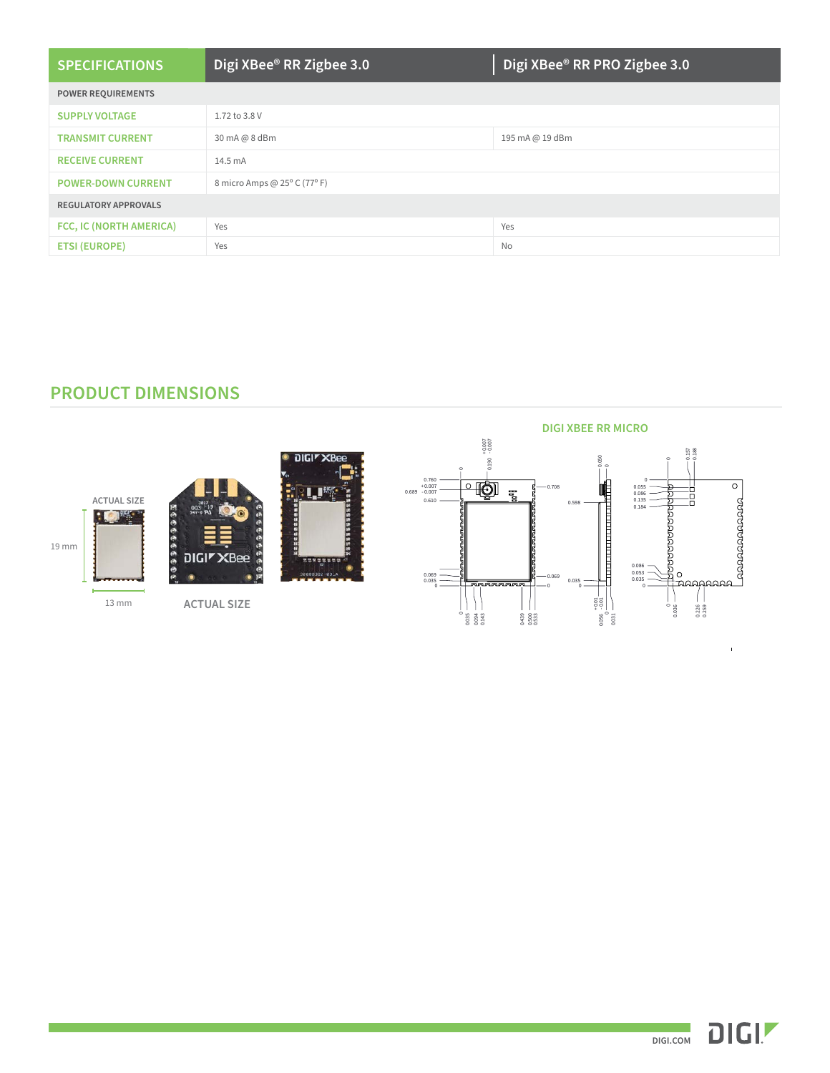| <b>SPECIFICATIONS</b>       | Digi XBee <sup>®</sup> RR Zigbee 3.0 | Digi XBee <sup>®</sup> RR PRO Zigbee 3.0 |
|-----------------------------|--------------------------------------|------------------------------------------|
| <b>POWER REQUIREMENTS</b>   |                                      |                                          |
| <b>SUPPLY VOLTAGE</b>       | 1.72 to 3.8 V                        |                                          |
| <b>TRANSMIT CURRENT</b>     | 30 mA @ 8 dBm                        | 195 mA @ 19 dBm                          |
| <b>RECEIVE CURRENT</b>      | $14.5 \text{ mA}$                    |                                          |
| <b>POWER-DOWN CURRENT</b>   | 8 micro Amps @ 25° C (77° F)         |                                          |
| <b>REGULATORY APPROVALS</b> |                                      |                                          |
| FCC, IC (NORTH AMERICA)     | Yes                                  | Yes                                      |
| <b>ETSI (EUROPE)</b>        | Yes                                  | No                                       |

#### **PRODUCT DIMENSIONS**





**DIGIT XB** 

**LI** 

**ACTUAL SIZE**





 $\bar{1}$